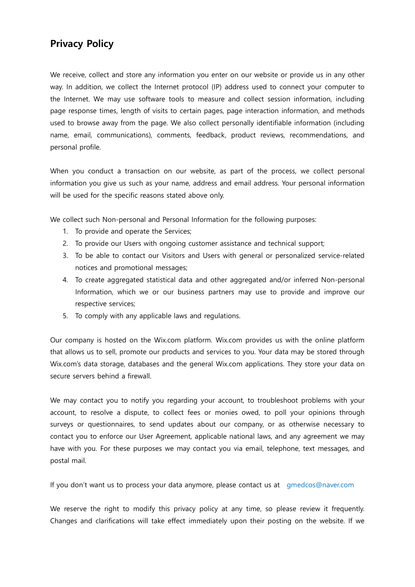## **Privacy Policy**

We receive, collect and store any information you enter on our website or provide us in any other way. In addition, we collect the Internet protocol (IP) address used to connect your computer to the Internet. We may use software tools to measure and collect session information, including page response times, length of visits to certain pages, page interaction information, and methods used to browse away from the page. We also collect personally identifiable information (including name, email, communications), comments, feedback, product reviews, recommendations, and personal profile.

When you conduct a transaction on our website, as part of the process, we collect personal information you give us such as your name, address and email address. Your personal information will be used for the specific reasons stated above only.

We collect such Non-personal and Personal Information for the following purposes:

- 1. To provide and operate the Services;
- 2. To provide our Users with ongoing customer assistance and technical support;
- 3. To be able to contact our Visitors and Users with general or personalized service-related notices and promotional messages;
- 4. To create aggregated statistical data and other aggregated and/or inferred Non-personal Information, which we or our business partners may use to provide and improve our respective services;
- 5. To comply with any applicable laws and regulations.

Our company is hosted on the Wix.com platform. Wix.com provides us with the online platform that allows us to sell, promote our products and services to you. Your data may be stored through Wix.com's data storage, databases and the general Wix.com applications. They store your data on secure servers behind a firewall.

We may contact you to notify you regarding your account, to troubleshoot problems with your account, to resolve a dispute, to collect fees or monies owed, to poll your opinions through surveys or questionnaires, to send updates about our company, or as otherwise necessary to contact you to enforce our User Agreement, applicable national laws, and any agreement we may have with you. For these purposes we may contact you via email, telephone, text messages, and postal mail.

If you don't want us to process your data anymore, please contact us at gmedcos@naver.com

We reserve the right to modify this privacy policy at any time, so please review it frequently. Changes and clarifications will take effect immediately upon their posting on the website. If we